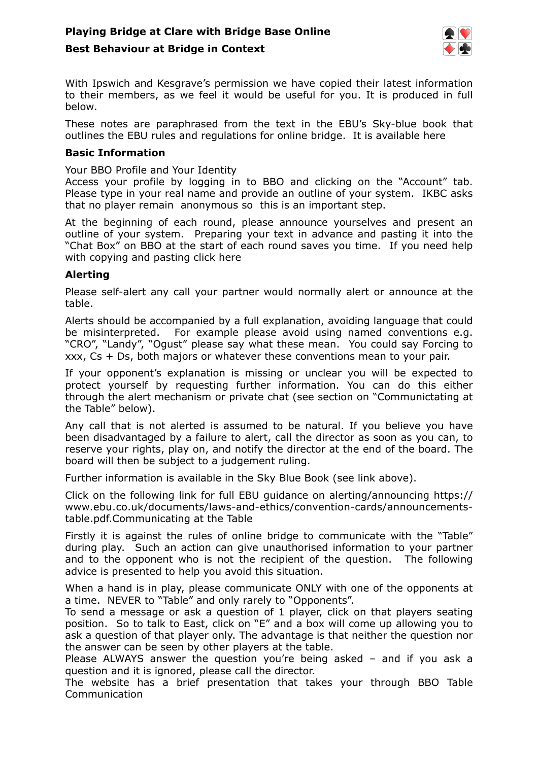

With Ipswich and Kesgrave's permission we have copied their latest information to their members, as we feel it would be useful for you. It is produced in full below.

These notes are paraphrased from the text in the EBU's Sky-blue book that outlines the EBU rules and regulations for online bridge. It is available [here](https://www.ebu.co.uk/documents/laws-and-ethics/skyblue-book-2020.pdf) 

#### **Basic Information**

Your BBO Profile and Your Identity

Access your profile by logging in to BBO and clicking on the "Account" tab. Please type in your real name and provide an outline of your system. IKBC asks that no player remain anonymous so this is an important step.

At the beginning of each round, please announce yourselves and present an outline of your system. Preparing your text in advance and pasting it into the "Chat Box" on BBO at the start of each round saves you time. If you need help with copying and pasting [click here](https://www.bridgewebs.com/cgi-bin/bwon/bw.cgi?club=ipswich&pid=docs_How%2520to%2520Copy%2520and%2520Paste.pdf) 

#### **Alerting**

Please self-alert any call your partner would normally alert or announce at the table.

Alerts should be accompanied by a full explanation, avoiding language that could be misinterpreted. For example please avoid using named conventions e.g. "CRO", "Landy", "Ogust" please say what these mean. You could say Forcing to xxx, Cs + Ds, both majors or whatever these conventions mean to your pair.

If your opponent's explanation is missing or unclear you will be expected to protect yourself by requesting further information. You can do this either through the alert mechanism or private chat (see section on "Communictating at the Table" below).

Any call that is not alerted is assumed to be natural. If you believe you have been disadvantaged by a failure to alert, call the director as soon as you can, to reserve your rights, play on, and notify the director at the end of the board. The board will then be subject to a judgement ruling.

Further information is available in the Sky Blue Book (see link above).

Click on the following link for full EBU guidance on alerting/announcing [https://](https://www.ebu.co.uk/documents/laws-and-ethics/convention-cards/announcements-table.pdf) [www.ebu.co.uk/documents/laws-and-ethics/convention-cards/announcements](https://www.ebu.co.uk/documents/laws-and-ethics/convention-cards/announcements-table.pdf)[table.pdf.](https://www.ebu.co.uk/documents/laws-and-ethics/convention-cards/announcements-table.pdf)Communicating at the Table

Firstly it is against the rules of online bridge to communicate with the "Table" during play. Such an action can give unauthorised information to your partner and to the opponent who is not the recipient of the question. The following advice is presented to help you avoid this situation.

When a hand is in play, please communicate ONLY with one of the opponents at a time. NEVER to "Table" and only rarely to "Opponents".

To send a message or ask a question of 1 player, click on that players seating position. So to talk to East, click on "E" and a box will come up allowing you to ask a question of that player only. The advantage is that neither the question nor the answer can be seen by other players at the table.

Please ALWAYS answer the question you're being asked – and if you ask a question and it is ignored, please call the director.

The website has a brief presentation that takes your through [BBO Table](https://www.bridgewebs.com/cgi-bin/bwon/bw.cgi?club=ipswich&pid=docs_BBO%2520Table%2520Communications.pdf)  [Communication](https://www.bridgewebs.com/cgi-bin/bwon/bw.cgi?club=ipswich&pid=docs_BBO%2520Table%2520Communications.pdf)